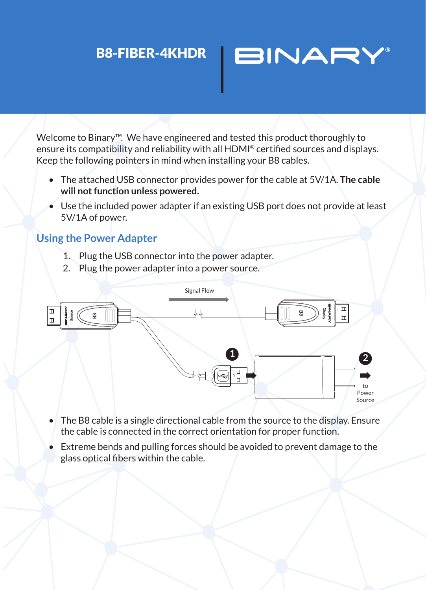## B8-FIBER-4KHDR

Welcome to Binary™. We have engineered and tested this product thoroughly to ensure its compatibility and reliability with all HDMI® certified sources and displays. Keep the following pointers in mind when installing your B8 cables.

**BINAR'** 

- The attached USB connector provides power for the cable at 5V/1A. **The cable will not function unless powered.**
- Use the included power adapter if an existing USB port does not provide at least 5V/1A of power.

## **Using the Power Adapter**

- 1. Plug the USB connector into the power adapter.
- 2. Plug the power adapter into a power source.



- The B8 cable is a single directional cable from the source to the display. Ensure the cable is connected in the correct orientation for proper function.
- Extreme bends and pulling forces should be avoided to prevent damage to the glass optical fibers within the cable.